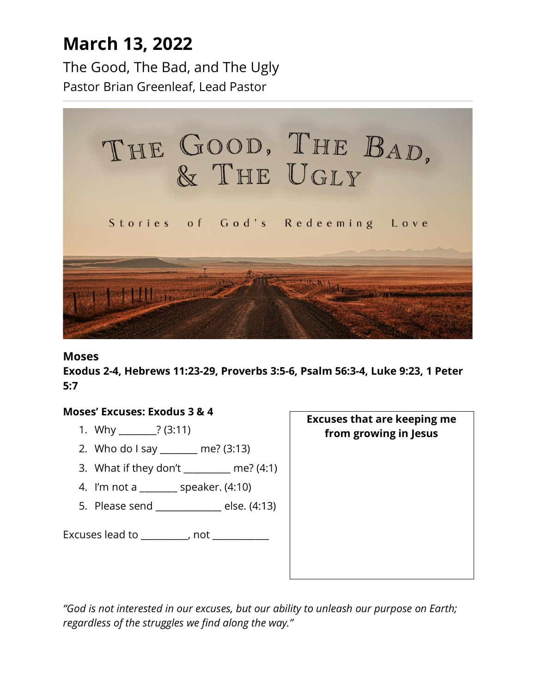## **March 13, 2022**

The Good, The Bad, and The Ugly Pastor Brian Greenleaf, Lead Pastor



#### **Moses**

**Exodus 2-4, Hebrews 11:23-29, Proverbs 3:5-6, Psalm 56:3-4, Luke 9:23, 1 Peter 5:7**

#### **Moses' Excuses: Exodus 3 & 4**

- 1. Why \_\_\_\_\_\_\_\_? (3:11)
- 2. Who do I say \_\_\_\_\_\_\_\_ me? (3:13)
- 3. What if they don't \_\_\_\_\_\_\_\_\_\_ me? (4:1)
- 4. I'm not a \_\_\_\_\_\_\_\_ speaker. (4:10)
- 5. Please send \_\_\_\_\_\_\_\_\_\_\_\_\_\_ else. (4:13)

Excuses lead to \_\_\_\_\_\_\_\_\_, not \_\_\_\_\_\_\_\_\_\_\_

**Excuses that are keeping me from growing in Jesus**

*"God is not interested in our excuses, but our ability to unleash our purpose on Earth; regardless of the struggles we find along the way."*